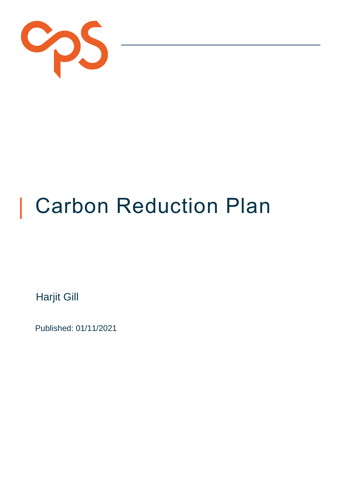

# Carbon Reduction Plan

Harjit Gill

Published: 01/11/2021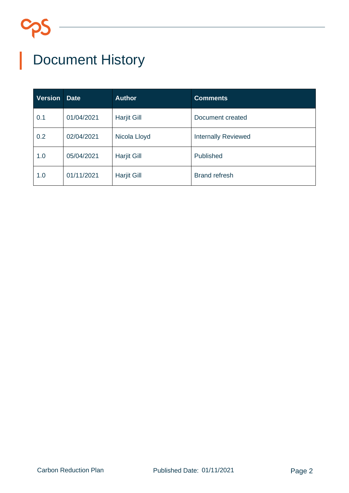# Document History

| <b>Version</b> | <b>Date</b> | <b>Author</b>      | <b>Comments</b>            |
|----------------|-------------|--------------------|----------------------------|
| 0.1            | 01/04/2021  | <b>Harjit Gill</b> | Document created           |
| 0.2            | 02/04/2021  | Nicola Lloyd       | <b>Internally Reviewed</b> |
| 1.0            | 05/04/2021  | <b>Harjit Gill</b> | Published                  |
| 1.0            | 01/11/2021  | <b>Harjit Gill</b> | <b>Brand refresh</b>       |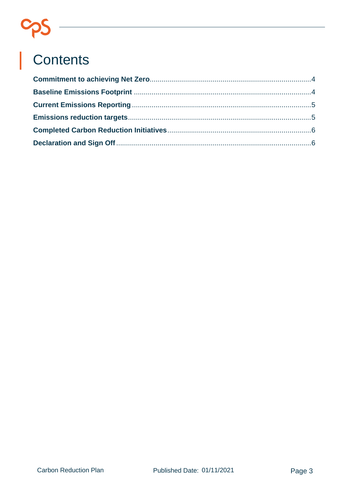# S<br>
S<br>
Contents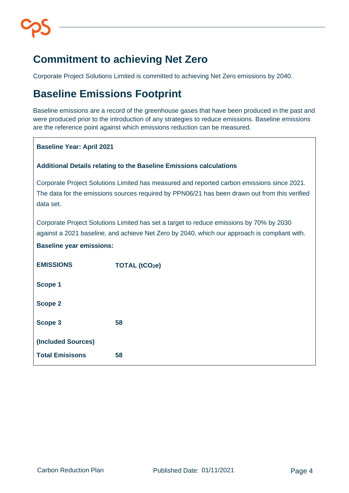# <span id="page-3-0"></span>**Commitment to achieving Net Zero**

Corporate Project Solutions Limited is committed to achieving Net Zero emissions by 2040.

### <span id="page-3-1"></span>**Baseline Emissions Footprint**

Baseline emissions are a record of the greenhouse gases that have been produced in the past and were produced prior to the introduction of any strategies to reduce emissions. Baseline emissions are the reference point against which emissions reduction can be measured.

#### **Baseline Year: April 2021**

#### **Additional Details relating to the Baseline Emissions calculations**

Corporate Project Solutions Limited has measured and reported carbon emissions since 2021. The data for the emissions sources required by PPN06/21 has been drawn out from this verified data set.

Corporate Project Solutions Limited has set a target to reduce emissions by 70% by 2030 against a 2021 baseline, and achieve Net Zero by 2040, which our approach is compliant with.

#### **Baseline year emissions:**

| <b>EMISSIONS</b>       | <b>TOTAL (tCO2e)</b> |
|------------------------|----------------------|
| <b>Scope 1</b>         |                      |
| <b>Scope 2</b>         |                      |
| Scope 3                | 58                   |
| (Included Sources)     |                      |
| <b>Total Emisisons</b> | 58                   |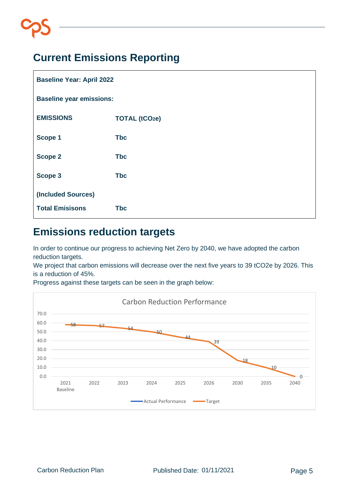# <span id="page-4-0"></span>**Current Emissions Reporting**

| <b>Baseline Year: April 2022</b> |                      |  |  |  |
|----------------------------------|----------------------|--|--|--|
| <b>Baseline year emissions:</b>  |                      |  |  |  |
| <b>EMISSIONS</b>                 | <b>TOTAL (tCO2e)</b> |  |  |  |
| Scope 1                          | <b>Tbc</b>           |  |  |  |
| <b>Scope 2</b>                   | <b>Tbc</b>           |  |  |  |
| Scope 3                          | <b>Tbc</b>           |  |  |  |
| (Included Sources)               |                      |  |  |  |
| <b>Total Emisisons</b>           | <b>Tbc</b>           |  |  |  |

## <span id="page-4-1"></span>**Emissions reduction targets**

In order to continue our progress to achieving Net Zero by 2040, we have adopted the carbon reduction targets.

We project that carbon emissions will decrease over the next five years to 39 tCO2e by 2026. This is a reduction of 45%.

Progress against these targets can be seen in the graph below:

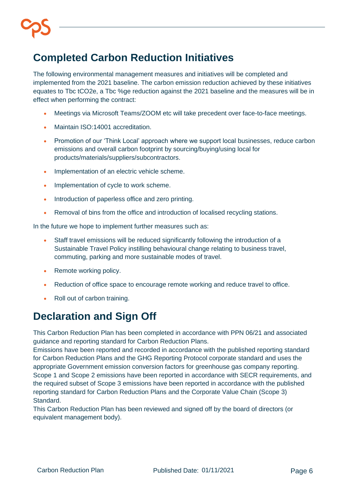# <span id="page-5-0"></span>**Completed Carbon Reduction Initiatives**

The following environmental management measures and initiatives will be completed and implemented from the 2021 baseline. The carbon emission reduction achieved by these initiatives equates to Tbc tCO2e, a Tbc %ge reduction against the 2021 baseline and the measures will be in effect when performing the contract:

- Meetings via Microsoft Teams/ZOOM etc will take precedent over face-to-face meetings.
- Maintain ISO:14001 accreditation.
- Promotion of our 'Think Local' approach where we support local businesses, reduce carbon emissions and overall carbon footprint by sourcing/buying/using local for products/materials/suppliers/subcontractors.
- Implementation of an electric vehicle scheme.
- Implementation of cycle to work scheme.
- Introduction of paperless office and zero printing.
- Removal of bins from the office and introduction of localised recycling stations.

In the future we hope to implement further measures such as:

- Staff travel emissions will be reduced significantly following the introduction of a Sustainable Travel Policy instilling behavioural change relating to business travel, commuting, parking and more sustainable modes of travel.
- Remote working policy.
- Reduction of office space to encourage remote working and reduce travel to office.
- Roll out of carbon training.

### <span id="page-5-1"></span>**Declaration and Sign Off**

This Carbon Reduction Plan has been completed in accordance with PPN 06/21 and associated guidance and reporting standard for Carbon Reduction Plans.

Emissions have been reported and recorded in accordance with the published reporting standard for Carbon Reduction Plans and the GHG Reporting Protocol corporate standard and uses the appropriate Government emission conversion factors for greenhouse gas company reporting. Scope 1 and Scope 2 emissions have been reported in accordance with SECR requirements, and the required subset of Scope 3 emissions have been reported in accordance with the published reporting standard for Carbon Reduction Plans and the Corporate Value Chain (Scope 3) Standard.

This Carbon Reduction Plan has been reviewed and signed off by the board of directors (or equivalent management body).